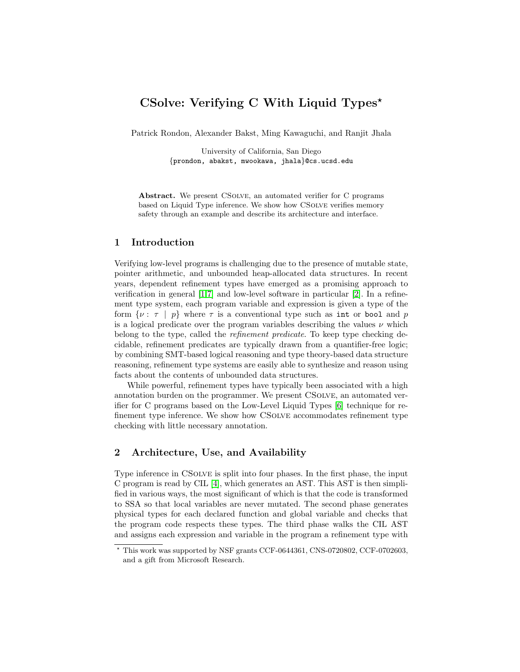# CSolve: Verifying C With Liquid Types?

Patrick Rondon, Alexander Bakst, Ming Kawaguchi, and Ranjit Jhala

University of California, San Diego {prondon, abakst, mwookawa, jhala}@cs.ucsd.edu

Abstract. We present CSolve, an automated verifier for C programs based on Liquid Type inference. We show how CSolve verifies memory safety through an example and describe its architecture and interface.

## 1 Introduction

Verifying low-level programs is challenging due to the presence of mutable state, pointer arithmetic, and unbounded heap-allocated data structures. In recent years, dependent refinement types have emerged as a promising approach to verification in general [\[1](#page-5-0)[,7\]](#page-5-1) and low-level software in particular [\[2\]](#page-5-2). In a refinement type system, each program variable and expression is given a type of the form  $\{\nu : \tau \mid p\}$  where  $\tau$  is a conventional type such as int or bool and p is a logical predicate over the program variables describing the values  $\nu$  which belong to the type, called the refinement predicate. To keep type checking decidable, refinement predicates are typically drawn from a quantifier-free logic; by combining SMT-based logical reasoning and type theory-based data structure reasoning, refinement type systems are easily able to synthesize and reason using facts about the contents of unbounded data structures.

While powerful, refinement types have typically been associated with a high annotation burden on the programmer. We present CSolve, an automated verifier for C programs based on the Low-Level Liquid Types [\[6\]](#page-5-3) technique for refinement type inference. We show how CSolve accommodates refinement type checking with little necessary annotation.

## 2 Architecture, Use, and Availability

Type inference in CSolve is split into four phases. In the first phase, the input C program is read by CIL [\[4\]](#page-5-4), which generates an AST. This AST is then simplified in various ways, the most significant of which is that the code is transformed to SSA so that local variables are never mutated. The second phase generates physical types for each declared function and global variable and checks that the program code respects these types. The third phase walks the CIL AST and assigns each expression and variable in the program a refinement type with

<sup>?</sup> This work was supported by NSF grants CCF-0644361, CNS-0720802, CCF-0702603, and a gift from Microsoft Research.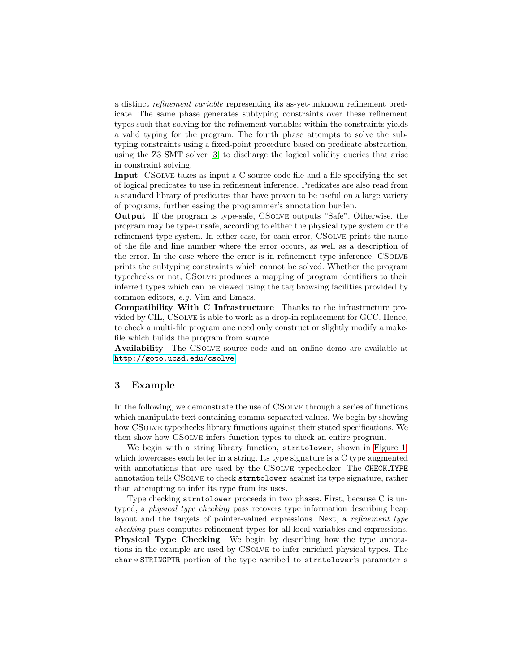a distinct refinement variable representing its as-yet-unknown refinement predicate. The same phase generates subtyping constraints over these refinement types such that solving for the refinement variables within the constraints yields a valid typing for the program. The fourth phase attempts to solve the subtyping constraints using a fixed-point procedure based on predicate abstraction, using the Z3 SMT solver [\[3\]](#page-5-5) to discharge the logical validity queries that arise in constraint solving.

Input CSolve takes as input a C source code file and a file specifying the set of logical predicates to use in refinement inference. Predicates are also read from a standard library of predicates that have proven to be useful on a large variety of programs, further easing the programmer's annotation burden.

Output If the program is type-safe, CSolve outputs "Safe". Otherwise, the program may be type-unsafe, according to either the physical type system or the refinement type system. In either case, for each error, CSolve prints the name of the file and line number where the error occurs, as well as a description of the error. In the case where the error is in refinement type inference, CSolve prints the subtyping constraints which cannot be solved. Whether the program typechecks or not, CSolve produces a mapping of program identifiers to their inferred types which can be viewed using the tag browsing facilities provided by common editors, e.g. Vim and Emacs.

Compatibility With C Infrastructure Thanks to the infrastructure provided by CIL, CSolve is able to work as a drop-in replacement for GCC. Hence, to check a multi-file program one need only construct or slightly modify a makefile which builds the program from source.

Availability The CSolve source code and an online demo are available at <http://goto.ucsd.edu/csolve>.

#### 3 Example

In the following, we demonstrate the use of CSOLVE through a series of functions which manipulate text containing comma-separated values. We begin by showing how CSolve typechecks library functions against their stated specifications. We then show how CSolve infers function types to check an entire program.

We begin with a string library function, strntolower, shown in [Figure 1,](#page-2-0) which lowercases each letter in a string. Its type signature is a C type augmented with annotations that are used by the CSOLVE typechecker. The CHECK\_TYPE annotation tells CSolve to check strntolower against its type signature, rather than attempting to infer its type from its uses.

Type checking strntolower proceeds in two phases. First, because C is untyped, a physical type checking pass recovers type information describing heap layout and the targets of pointer-valued expressions. Next, a refinement type checking pass computes refinement types for all local variables and expressions. Physical Type Checking We begin by describing how the type annotations in the example are used by CSolve to infer enriched physical types. The char ∗ STRINGPTR portion of the type ascribed to strntolower's parameter s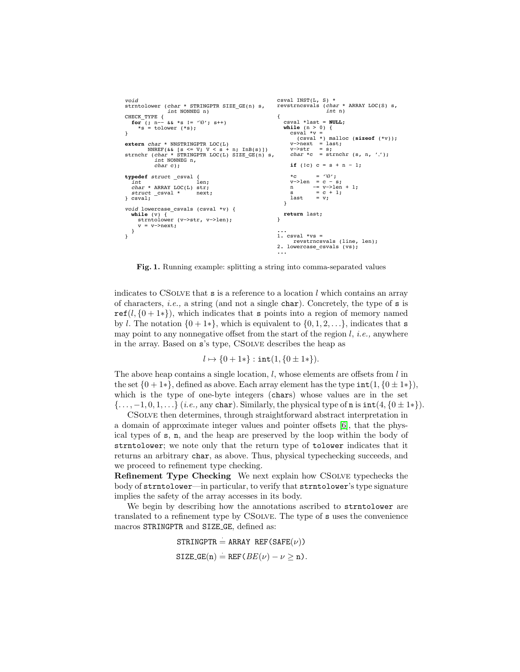```
void
strntolower (char * STRINGPTR SIZE_GE(n) s,
 int NONNEG n)
CHECK_TYPE {
 for (; n−− && *s != '\0'; s++)
  for (i) n-- kk *s !=<br>*s = tolower (*s);
}
extern char * NNSTRINGPTR LOC(L)
 NNREF(&& [s <= V; V < s + n; InB(s)])
strnchr (char * STRINGPTR LOC(L) SIZE_GE(n) s,
              int NONNEG n, char c);
typedef struct _csval {
  int len;<br>
char * ARRAY LOC(L) str;<br>
struct csval * next;
   struct _csval *
} csval;
void lowercase_csvals (csval *v) {
 while (v) {
 strntolower (v−>str, v−>len);
     v = v \rightarrownext;
   }
}
                                                                     csval INST(L, S) *
                                                                      revstrncsvals (char * ARRAY LOC(S) s,
 int n)
                                                                      {
                                                                         csval *last = NULL;
                                                                      while (n > 0) {<br>
csval *v = (csval *) malloc (sizeof (*v));
 v−>next = last;
                                                                       v−>str = s;
 char *c = strnchr (s, n, ',');
                                                                           if (1c) c = s + n - 1;
                                                                      *c = '\0';<br>v->len = c - s;<br>n -= v->len + 1;
                                                                           n - v->len<br>s = c + 1;<br>last = v;
                                                                           _{\text{last}} }
                                                                         return last;
                                                                     }
                                                                      ...
1. csval *vs =
                                                                       revstrncsvals (line, len);
2. lowercase_csvals (vs);
                                                                      ...
```
<span id="page-2-0"></span>Fig. 1. Running example: splitting a string into comma-separated values

indicates to CSOLVE that  $s$  is a reference to a location l which contains an array of characters, *i.e.*, a string (and not a single char). Concretely, the type of  $s$  is ref(l,  $\{0+1*\}$ ), which indicates that s points into a region of memory named by l. The notation  $\{0 + 1*\}$ , which is equivalent to  $\{0, 1, 2, ...\}$ , indicates that s may point to any nonnegative offset from the start of the region  $l, i.e.,$  anywhere in the array. Based on s's type, CSolve describes the heap as

 $l \mapsto \{0 + 1*\} : \text{int}(1, \{0 \pm 1*\}).$ 

The above heap contains a single location,  $l$ , whose elements are offsets from  $l$  in the set  $\{0 + 1\ast\}$ , defined as above. Each array element has the type  $\text{int}(1, \{0 \pm 1\ast\})$ , which is the type of one-byte integers (chars) whose values are in the set  $\{\ldots, -1, 0, 1, \ldots\}$  (i.e., any char). Similarly, the physical type of n is  $\text{int}(4, \{0 \pm 1*\})$ .

CSolve then determines, through straightforward abstract interpretation in a domain of approximate integer values and pointer offsets [\[6\]](#page-5-3), that the physical types of s, n, and the heap are preserved by the loop within the body of strntolower; we note only that the return type of tolower indicates that it returns an arbitrary char, as above. Thus, physical typechecking succeeds, and we proceed to refinement type checking.

Refinement Type Checking We next explain how CSOLVE typechecks the body of strntolower—in particular, to verify that strntolower's type signature implies the safety of the array accesses in its body.

We begin by describing how the annotations ascribed to strntolower are translated to a refinement type by CSolve. The type of s uses the convenience macros STRINGPTR and SIZE GE, defined as:

> $STRINGPTR = ARRAY REF(SAFE(\nu))$  $\texttt{SIZE\_GE}(n) = \texttt{REF}(BE(\nu) - \nu \geq n).$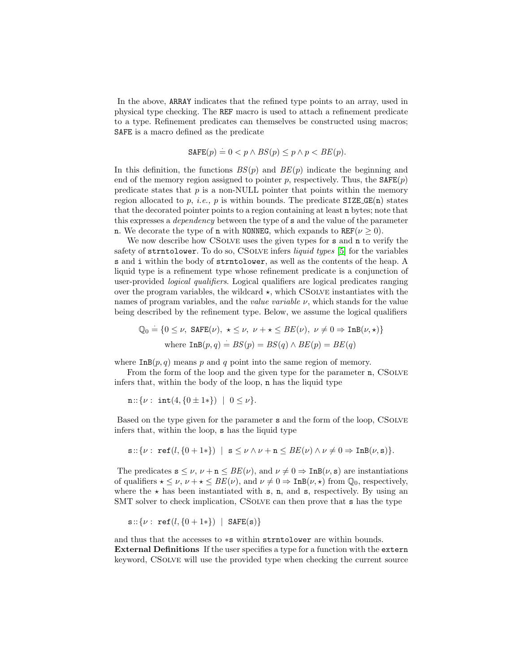In the above, ARRAY indicates that the refined type points to an array, used in physical type checking. The REF macro is used to attach a refinement predicate to a type. Refinement predicates can themselves be constructed using macros; SAFE is a macro defined as the predicate

$$
\text{SAFE}(p) = 0 < p \land BS(p) \leq p \land p < BE(p).
$$

In this definition, the functions  $BS(p)$  and  $BE(p)$  indicate the beginning and end of the memory region assigned to pointer p, respectively. Thus, the  $\text{SAFE}(p)$ predicate states that  $p$  is a non-NULL pointer that points within the memory region allocated to p, *i.e.*, p is within bounds. The predicate  $SIZE\_GE(n)$  states that the decorated pointer points to a region containing at least n bytes; note that this expresses a *dependency* between the type of **s** and the value of the parameter n. We decorate the type of n with NONNEG, which expands to  $REF(\nu>0)$ .

We now describe how CSOLVE uses the given types for s and n to verify the safety of strntolower. To do so, CSOLVE infers *liquid types* [\[5\]](#page-5-6) for the variables s and i within the body of strntolower, as well as the contents of the heap. A liquid type is a refinement type whose refinement predicate is a conjunction of user-provided logical qualifiers. Logical qualifiers are logical predicates ranging over the program variables, the wildcard  $\star$ , which CSOLVE instantiates with the names of program variables, and the *value variable*  $\nu$ , which stands for the value being described by the refinement type. Below, we assume the logical qualifiers

$$
\mathbb{Q}_0 = \{0 \le \nu, \ \text{SAFE}(\nu), \ \star \le \nu, \ \nu + \star \le BE(\nu), \ \nu \ne 0 \Rightarrow \text{InB}(\nu, \star)\}
$$
  
where 
$$
\text{InB}(p, q) = BS(p) = BS(q) \land BE(p) = BE(q)
$$

where  $\texttt{InB}(p,q)$  means p and q point into the same region of memory.

From the form of the loop and the given type for the parameter n, CSOLVE infers that, within the body of the loop, n has the liquid type

$$
\mathbf{n}::\{\nu: \; \mathbf{int}(4,\{0\pm 1*\}) \; \mid \; 0\leq \nu\}.
$$

Based on the type given for the parameter s and the form of the loop, CSOLVE infers that, within the loop, s has the liquid type

$$
\mathbf{s}::\{\nu:\ \mathbf{ref}(l,\{0+1*\})\ |\ \mathbf{s}\leq\nu\wedge\nu+\mathbf{n}\leq BE(\nu)\wedge\nu\neq0\Rightarrow\mathrm{InB}(\nu,\mathbf{s})\}.
$$

The predicates  $\mathbf{s} \leq \nu$ ,  $\nu + \mathbf{n} \leq BE(\nu)$ , and  $\nu \neq 0 \Rightarrow \text{InB}(\nu, \mathbf{s})$  are instantiations of qualifiers  $\star \leq \nu$ ,  $\nu + \star \leq BE(\nu)$ , and  $\nu \neq 0 \Rightarrow \text{InB}(\nu, \star)$  from  $\mathbb{Q}_0$ , respectively, where the  $\star$  has been instantiated with s, n, and s, respectively. By using an SMT solver to check implication, CSolve can then prove that s has the type

$$
s::\{\nu: \; \mathtt{ref}(l, \{0+1*\}) \; \mid \; \mathtt{SAFE}(s)\}
$$

and thus that the accesses to ∗s within strntolower are within bounds. External Definitions If the user specifies a type for a function with the extern keyword, CSolve will use the provided type when checking the current source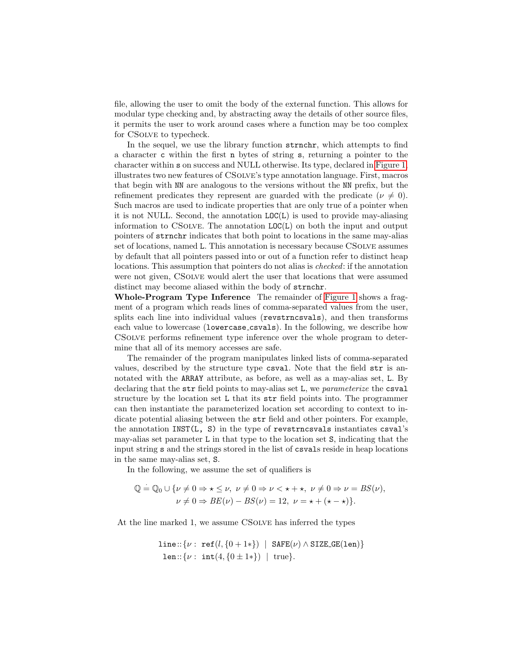file, allowing the user to omit the body of the external function. This allows for modular type checking and, by abstracting away the details of other source files, it permits the user to work around cases where a function may be too complex for CSolve to typecheck.

In the sequel, we use the library function strnchr, which attempts to find a character c within the first n bytes of string s, returning a pointer to the character within s on success and NULL otherwise. Its type, declared in [Figure 1,](#page-2-0) illustrates two new features of CSolve's type annotation language. First, macros that begin with NN are analogous to the versions without the NN prefix, but the refinement predicates they represent are guarded with the predicate ( $\nu \neq 0$ ). Such macros are used to indicate properties that are only true of a pointer when it is not NULL. Second, the annotation  $LOG(L)$  is used to provide may-aliasing information to CSOLVE. The annotation  $LOC(L)$  on both the input and output pointers of strnchr indicates that both point to locations in the same may-alias set of locations, named L. This annotation is necessary because CSolve assumes by default that all pointers passed into or out of a function refer to distinct heap locations. This assumption that pointers do not alias is checked: if the annotation were not given, CSolve would alert the user that locations that were assumed distinct may become aliased within the body of strnchr.

Whole-Program Type Inference The remainder of [Figure 1](#page-2-0) shows a fragment of a program which reads lines of comma-separated values from the user, splits each line into individual values (revstrncsvals), and then transforms each value to lowercase (lowercase csvals). In the following, we describe how CSolve performs refinement type inference over the whole program to determine that all of its memory accesses are safe.

The remainder of the program manipulates linked lists of comma-separated values, described by the structure type csval. Note that the field str is annotated with the ARRAY attribute, as before, as well as a may-alias set, L. By declaring that the str field points to may-alias set L, we *parameterize* the csval structure by the location set L that its str field points into. The programmer can then instantiate the parameterized location set according to context to indicate potential aliasing between the str field and other pointers. For example, the annotation INST(L, S) in the type of revstrncsvals instantiates csval's may-alias set parameter L in that type to the location set S, indicating that the input string s and the strings stored in the list of csvals reside in heap locations in the same may-alias set, S.

In the following, we assume the set of qualifiers is

$$
\mathbb{Q} = \mathbb{Q}_0 \cup \{ \nu \neq 0 \Rightarrow \star \leq \nu, \ \nu \neq 0 \Rightarrow \nu < \star + \star, \ \nu \neq 0 \Rightarrow \nu = BS(\nu),
$$

$$
\nu \neq 0 \Rightarrow BE(\nu) - BS(\nu) = 12, \ \nu = \star + (\star - \star)\}.
$$

At the line marked 1, we assume CSolve has inferred the types

line:: {
$$
\nu
$$
: ref( $l$ , {0 + 1\*) } | SAFE( $\nu$ )  $\land$  SIZE.GE(len)}  
len:: { $\nu$ : int(4, {0 ± 1\*) } | true}.